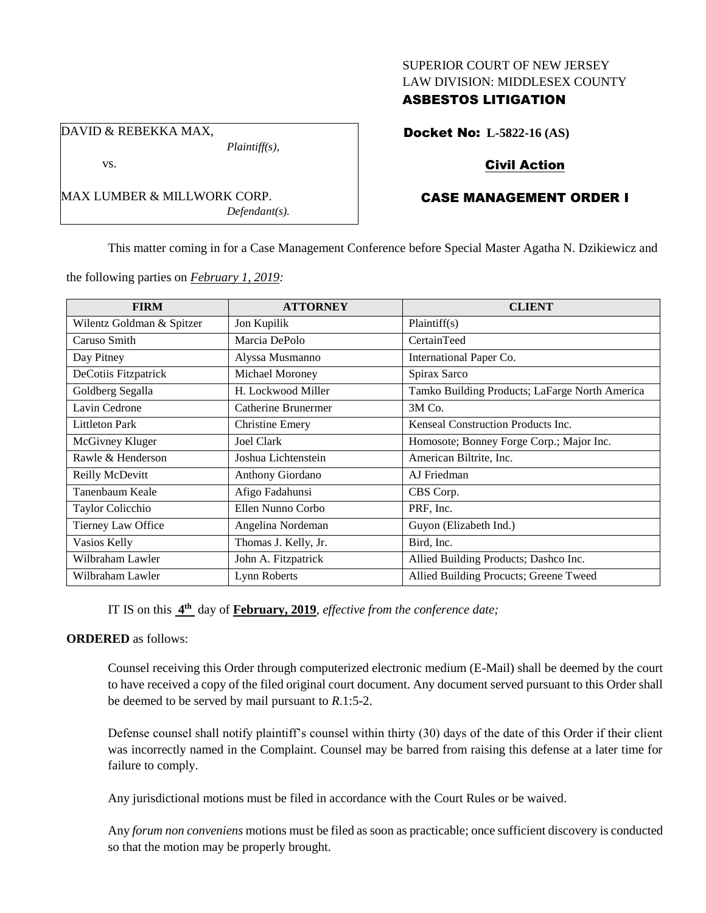#### SUPERIOR COURT OF NEW JERSEY LAW DIVISION: MIDDLESEX COUNTY

# ASBESTOS LITIGATION

Docket No: **L-5822-16 (AS)**

# Civil Action

# CASE MANAGEMENT ORDER I

This matter coming in for a Case Management Conference before Special Master Agatha N. Dzikiewicz and

the following parties on *February 1, 2019:*

MAX LUMBER & MILLWORK CORP.

*Plaintiff(s),*

*Defendant(s).*

| <b>FIRM</b>               | <b>ATTORNEY</b>        | <b>CLIENT</b>                                  |
|---------------------------|------------------------|------------------------------------------------|
| Wilentz Goldman & Spitzer | Jon Kupilik            | Plaintiff(s)                                   |
| Caruso Smith              | Marcia DePolo          | CertainTeed                                    |
| Day Pitney                | Alyssa Musmanno        | International Paper Co.                        |
| DeCotiis Fitzpatrick      | Michael Moroney        | Spirax Sarco                                   |
| Goldberg Segalla          | H. Lockwood Miller     | Tamko Building Products; LaFarge North America |
| Lavin Cedrone             | Catherine Brunermer    | 3M Co.                                         |
| <b>Littleton Park</b>     | <b>Christine Emery</b> | Kenseal Construction Products Inc.             |
| McGivney Kluger           | <b>Joel Clark</b>      | Homosote; Bonney Forge Corp.; Major Inc.       |
| Rawle & Henderson         | Joshua Lichtenstein    | American Biltrite, Inc.                        |
| Reilly McDevitt           | Anthony Giordano       | AJ Friedman                                    |
| Tanenbaum Keale           | Afigo Fadahunsi        | CBS Corp.                                      |
| Taylor Colicchio          | Ellen Nunno Corbo      | PRF, Inc.                                      |
| Tierney Law Office        | Angelina Nordeman      | Guyon (Elizabeth Ind.)                         |
| Vasios Kelly              | Thomas J. Kelly, Jr.   | Bird, Inc.                                     |
| Wilbraham Lawler          | John A. Fitzpatrick    | Allied Building Products; Dashco Inc.          |
| Wilbraham Lawler          | Lynn Roberts           | Allied Building Procucts; Greene Tweed         |

IT IS on this **4 th** day of **February, 2019**, *effective from the conference date;*

#### **ORDERED** as follows:

Counsel receiving this Order through computerized electronic medium (E-Mail) shall be deemed by the court to have received a copy of the filed original court document. Any document served pursuant to this Order shall be deemed to be served by mail pursuant to *R*.1:5-2.

Defense counsel shall notify plaintiff's counsel within thirty (30) days of the date of this Order if their client was incorrectly named in the Complaint. Counsel may be barred from raising this defense at a later time for failure to comply.

Any jurisdictional motions must be filed in accordance with the Court Rules or be waived.

Any *forum non conveniens* motions must be filed as soon as practicable; once sufficient discovery is conducted so that the motion may be properly brought.

DAVID & REBEKKA MAX,

vs.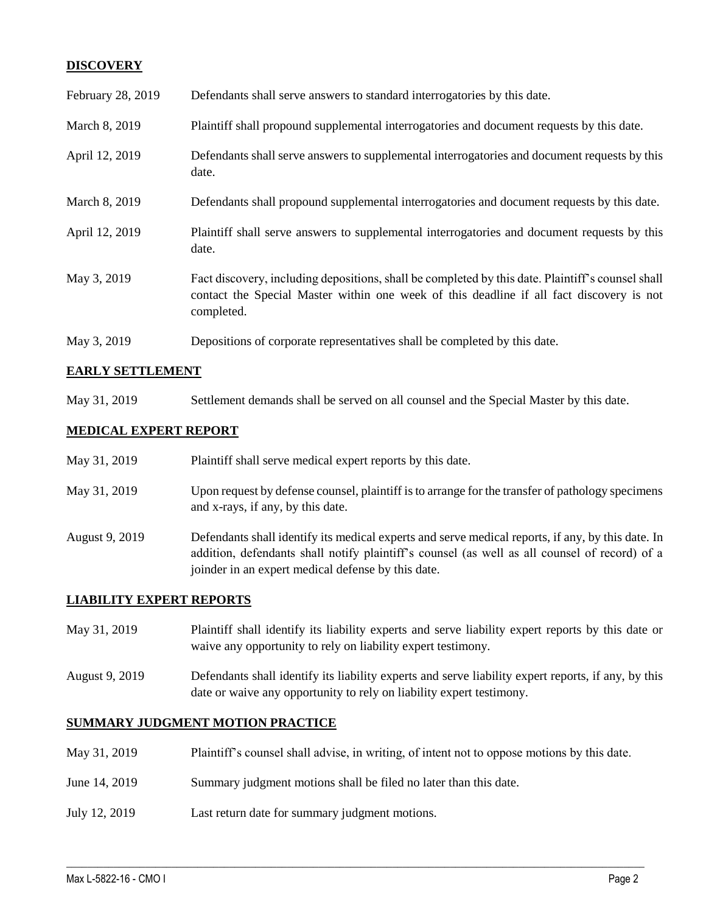## **DISCOVERY**

| February 28, 2019 | Defendants shall serve answers to standard interrogatories by this date.                                                                                                                                    |
|-------------------|-------------------------------------------------------------------------------------------------------------------------------------------------------------------------------------------------------------|
| March 8, 2019     | Plaintiff shall propound supplemental interrogatories and document requests by this date.                                                                                                                   |
| April 12, 2019    | Defendants shall serve answers to supplemental interrogatories and document requests by this<br>date.                                                                                                       |
| March 8, 2019     | Defendants shall propound supplemental interrogatories and document requests by this date.                                                                                                                  |
| April 12, 2019    | Plaintiff shall serve answers to supplemental interrogatories and document requests by this<br>date.                                                                                                        |
| May 3, 2019       | Fact discovery, including depositions, shall be completed by this date. Plaintiff's counsel shall<br>contact the Special Master within one week of this deadline if all fact discovery is not<br>completed. |
| May 3, 2019       | Depositions of corporate representatives shall be completed by this date.                                                                                                                                   |

## **EARLY SETTLEMENT**

May 31, 2019 Settlement demands shall be served on all counsel and the Special Master by this date.

#### **MEDICAL EXPERT REPORT**

| May 31, 2019   | Plaintiff shall serve medical expert reports by this date.                                                                                                                                                                                               |
|----------------|----------------------------------------------------------------------------------------------------------------------------------------------------------------------------------------------------------------------------------------------------------|
| May 31, 2019   | Upon request by defense counsel, plaintiff is to arrange for the transfer of pathology specimens<br>and x-rays, if any, by this date.                                                                                                                    |
| August 9, 2019 | Defendants shall identify its medical experts and serve medical reports, if any, by this date. In<br>addition, defendants shall notify plaintiff's counsel (as well as all counsel of record) of a<br>joinder in an expert medical defense by this date. |

#### **LIABILITY EXPERT REPORTS**

| May 31, 2019 | Plaintiff shall identify its liability experts and serve liability expert reports by this date or |
|--------------|---------------------------------------------------------------------------------------------------|
|              | waive any opportunity to rely on liability expert testimony.                                      |

August 9, 2019 Defendants shall identify its liability experts and serve liability expert reports, if any, by this date or waive any opportunity to rely on liability expert testimony.

## **SUMMARY JUDGMENT MOTION PRACTICE**

May 31, 2019 Plaintiff's counsel shall advise, in writing, of intent not to oppose motions by this date.

 $\_$  ,  $\_$  ,  $\_$  ,  $\_$  ,  $\_$  ,  $\_$  ,  $\_$  ,  $\_$  ,  $\_$  ,  $\_$  ,  $\_$  ,  $\_$  ,  $\_$  ,  $\_$  ,  $\_$  ,  $\_$  ,  $\_$  ,  $\_$  ,  $\_$  ,  $\_$  ,  $\_$  ,  $\_$  ,  $\_$  ,  $\_$  ,  $\_$  ,  $\_$  ,  $\_$  ,  $\_$  ,  $\_$  ,  $\_$  ,  $\_$  ,  $\_$  ,  $\_$  ,  $\_$  ,  $\_$  ,  $\_$  ,  $\_$  ,

- June 14, 2019 Summary judgment motions shall be filed no later than this date.
- July 12, 2019 Last return date for summary judgment motions.